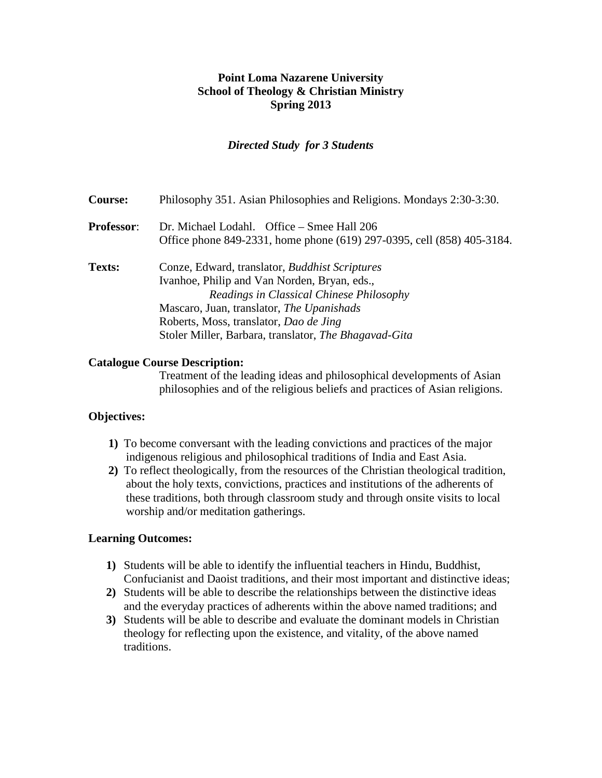## **Point Loma Nazarene University School of Theology & Christian Ministry Spring 2013**

### *Directed Study for 3 Students*

| <b>Course:</b>    | Philosophy 351. Asian Philosophies and Religions. Mondays 2:30-3:30.                                                                                                                                                                                                                       |
|-------------------|--------------------------------------------------------------------------------------------------------------------------------------------------------------------------------------------------------------------------------------------------------------------------------------------|
| <b>Professor:</b> | Dr. Michael Lodahl. Office – Smee Hall 206<br>Office phone 849-2331, home phone (619) 297-0395, cell (858) 405-3184.                                                                                                                                                                       |
| Texts:            | Conze, Edward, translator, Buddhist Scriptures<br>Ivanhoe, Philip and Van Norden, Bryan, eds.,<br>Readings in Classical Chinese Philosophy<br>Mascaro, Juan, translator, The Upanishads<br>Roberts, Moss, translator, Dao de Jing<br>Stoler Miller, Barbara, translator, The Bhagavad-Gita |

### **Catalogue Course Description:**

Treatment of the leading ideas and philosophical developments of Asian philosophies and of the religious beliefs and practices of Asian religions.

## **Objectives:**

- **1)** To become conversant with the leading convictions and practices of the major indigenous religious and philosophical traditions of India and East Asia.
- **2)** To reflect theologically, from the resources of the Christian theological tradition, about the holy texts, convictions, practices and institutions of the adherents of these traditions, both through classroom study and through onsite visits to local worship and/or meditation gatherings.

### **Learning Outcomes:**

- **1)** Students will be able to identify the influential teachers in Hindu, Buddhist, Confucianist and Daoist traditions, and their most important and distinctive ideas;
- **2)** Students will be able to describe the relationships between the distinctive ideas and the everyday practices of adherents within the above named traditions; and
- **3)** Students will be able to describe and evaluate the dominant models in Christian theology for reflecting upon the existence, and vitality, of the above named traditions.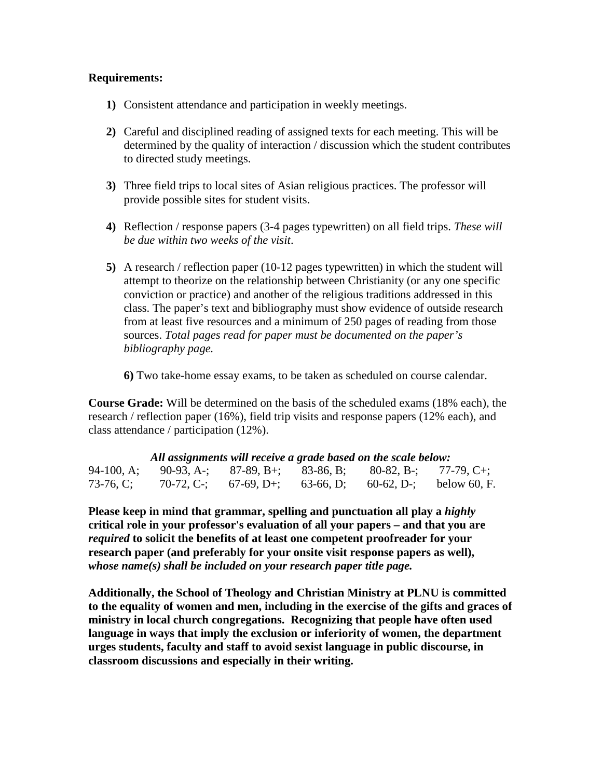### **Requirements:**

- **1)** Consistent attendance and participation in weekly meetings.
- **2)** Careful and disciplined reading of assigned texts for each meeting. This will be determined by the quality of interaction / discussion which the student contributes to directed study meetings.
- **3)** Three field trips to local sites of Asian religious practices. The professor will provide possible sites for student visits.
- **4)** Reflection / response papers (3-4 pages typewritten) on all field trips. *These will be due within two weeks of the visit*.
- **5)** A research / reflection paper (10-12 pages typewritten) in which the student will attempt to theorize on the relationship between Christianity (or any one specific conviction or practice) and another of the religious traditions addressed in this class. The paper's text and bibliography must show evidence of outside research from at least five resources and a minimum of 250 pages of reading from those sources. *Total pages read for paper must be documented on the paper's bibliography page.*

**6)** Two take-home essay exams, to be taken as scheduled on course calendar.

**Course Grade:** Will be determined on the basis of the scheduled exams (18% each), the research / reflection paper (16%), field trip visits and response papers (12% each), and class attendance / participation (12%).

| All assignments will receive a grade based on the scale below: |  |  |  |                                                         |  |
|----------------------------------------------------------------|--|--|--|---------------------------------------------------------|--|
| $94-100$ , A;                                                  |  |  |  | 90-93, A-; 87-89, B+; 83-86, B; 80-82, B-; 77-79, C+;   |  |
| 73-76, C:                                                      |  |  |  | 70-72, C-; 67-69, D+; 63-66, D; 60-62, D-; below 60, F. |  |

**Please keep in mind that grammar, spelling and punctuation all play a** *highly*  **critical role in your professor's evaluation of all your papers – and that you are**  *required* **to solicit the benefits of at least one competent proofreader for your research paper (and preferably for your onsite visit response papers as well),**  *whose name(s) shall be included on your research paper title page.*

**Additionally, the School of Theology and Christian Ministry at PLNU is committed to the equality of women and men, including in the exercise of the gifts and graces of ministry in local church congregations. Recognizing that people have often used language in ways that imply the exclusion or inferiority of women, the department urges students, faculty and staff to avoid sexist language in public discourse, in classroom discussions and especially in their writing.**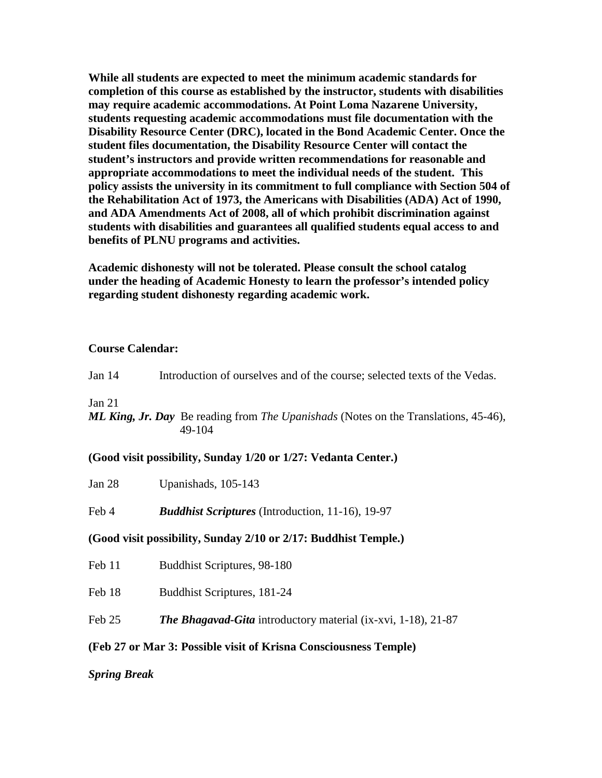**While all students are expected to meet the minimum academic standards for completion of this course as established by the instructor, students with disabilities may require academic accommodations. At Point Loma Nazarene University, students requesting academic accommodations must file documentation with the Disability Resource Center (DRC), located in the Bond Academic Center. Once the student files documentation, the Disability Resource Center will contact the student's instructors and provide written recommendations for reasonable and appropriate accommodations to meet the individual needs of the student. This policy assists the university in its commitment to full compliance with Section 504 of the Rehabilitation Act of 1973, the Americans with Disabilities (ADA) Act of 1990, and ADA Amendments Act of 2008, all of which prohibit discrimination against students with disabilities and guarantees all qualified students equal access to and benefits of PLNU programs and activities.**

**Academic dishonesty will not be tolerated. Please consult the school catalog under the heading of Academic Honesty to learn the professor's intended policy regarding student dishonesty regarding academic work.**

#### **Course Calendar:**

| Jan $14$ | Introduction of ourselves and of the course; selected texts of the Vedas.                                   |
|----------|-------------------------------------------------------------------------------------------------------------|
| Jan 21   | <b>ML King, Jr. Day</b> Be reading from <i>The Upanishads</i> (Notes on the Translations, 45-46),<br>49-104 |

### **(Good visit possibility, Sunday 1/20 or 1/27: Vedanta Center.)**

Jan 28 Upanishads, 105-143

Feb 4 *Buddhist Scriptures* (Introduction, 11-16), 19-97

### **(Good visit possibility, Sunday 2/10 or 2/17: Buddhist Temple.)**

Feb 11 Buddhist Scriptures, 98-180

Feb 18 Buddhist Scriptures, 181-24

Feb 25 *The Bhagavad-Gita* introductory material (ix-xvi, 1-18), 21-87

### **(Feb 27 or Mar 3: Possible visit of Krisna Consciousness Temple)**

### *Spring Break*